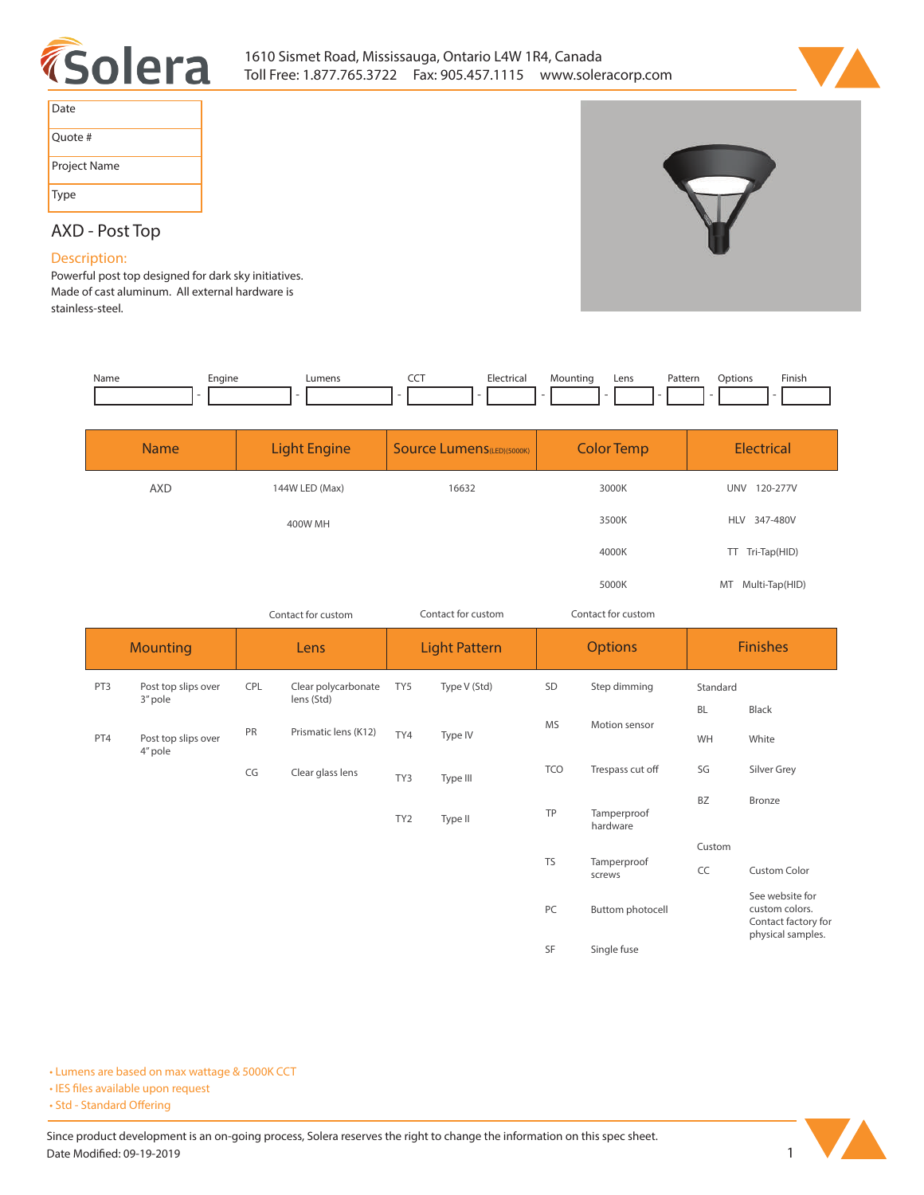



| Date         |
|--------------|
| Quote #      |
| Project Name |
| Type         |

# **AXD - Post Top**

## **Description:**

**Powerful post top designed for dark sky initiatives. Made of cast aluminum. All external hardware is stainless-steel.** 

| Name | engine | umens | --- | Mountir | Lens | Pattern<br>. | )ptions | Finish |
|------|--------|-------|-----|---------|------|--------------|---------|--------|
|      |        |       |     |         |      |              |         |        |

| <b>Name</b> | <b>Light Engine</b> | <b>Source Lumens</b> (LED)(5000K) | <b>Color Temp</b> | <b>Electrical</b>      |
|-------------|---------------------|-----------------------------------|-------------------|------------------------|
| <b>AXD</b>  | 144W LED (Max)      | 16632                             | 3000K             | 120-277V<br><b>UNV</b> |
|             | 400W MH             |                                   | 3500K             | HLV 347-480V           |
|             |                     |                                   | 4000K             | TT Tri-Tap(HID)        |
|             |                     |                                   | 5000K             | MT Multi-Tap(HID)      |

| Contact for custom | Contact for custom | Contact for custom |
|--------------------|--------------------|--------------------|
|                    |                    |                    |

| <b>Mounting</b> |                                | Lens |                                   | <b>Light Pattern</b> |              | <b>Options</b> |                         | <b>Finishes</b> |                                                                               |
|-----------------|--------------------------------|------|-----------------------------------|----------------------|--------------|----------------|-------------------------|-----------------|-------------------------------------------------------------------------------|
| PT3             | Post top slips over<br>3" pole | CPL  | Clear polycarbonate<br>lens (Std) | TY5                  | Type V (Std) | SD             | Step dimming            | Standard        |                                                                               |
|                 |                                |      |                                   |                      |              |                |                         | <b>BL</b>       | Black                                                                         |
| PT4             | Post top slips over<br>4" pole | PR   | Prismatic lens (K12)              | TY4                  | Type IV      | <b>MS</b>      | Motion sensor           | WH              | White                                                                         |
|                 |                                | CG   | Clear glass lens                  | TY3                  | Type III     | <b>TCO</b>     | Trespass cut off        | SG              | Silver Grey                                                                   |
|                 |                                |      |                                   | TY <sub>2</sub>      | Type II      | TP             | Tamperproof<br>hardware | <b>BZ</b>       | Bronze                                                                        |
|                 |                                |      |                                   |                      |              |                |                         | Custom          |                                                                               |
|                 |                                |      |                                   |                      |              | <b>TS</b>      | Tamperproof<br>screws   | CC              | <b>Custom Color</b>                                                           |
|                 |                                |      |                                   |                      |              | PC             | Buttom photocell        |                 | See website for<br>custom colors.<br>Contact factory for<br>physical samples. |
|                 |                                |      |                                   |                      |              | <b>SF</b>      | Single fuse             |                 |                                                                               |

**• Lumens are based on max wattage & 5000K CCT**

**• IES files available upon request** 

• Std - Standard Offering

Since product development is an on-going process, Solera reserves the right to change the information on this spec sheet. **Date Modified: 09-19-2019** 1